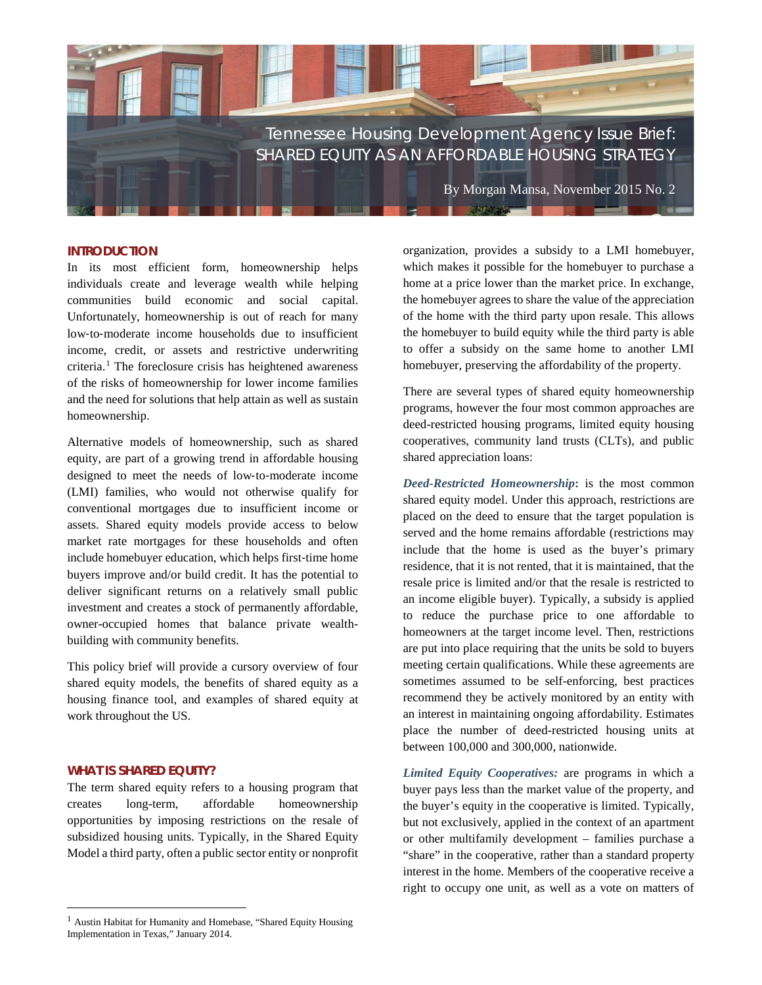

#### **INTRODUCTION**

In its most efficient form, homeownership helps individuals create and leverage wealth while helping communities build economic and social capital. Unfortunately, homeownership is out of reach for many low‐to‐moderate income households due to insufficient income, credit, or assets and restrictive underwriting  $c$ riteria.<sup>[1](#page-0-0)</sup> The foreclosure crisis has heightened awareness of the risks of homeownership for lower income families and the need for solutions that help attain as well as sustain homeownership.

Alternative models of homeownership, such as shared equity, are part of a growing trend in affordable housing designed to meet the needs of low‐to‐moderate income (LMI) families, who would not otherwise qualify for conventional mortgages due to insufficient income or assets. Shared equity models provide access to below market rate mortgages for these households and often include homebuyer education, which helps first‐time home buyers improve and/or build credit. It has the potential to deliver significant returns on a relatively small public investment and creates a stock of permanently affordable, owner-occupied homes that balance private wealthbuilding with community benefits.

This policy brief will provide a cursory overview of four shared equity models, the benefits of shared equity as a housing finance tool, and examples of shared equity at work throughout the US.

## **WHAT IS SHARED EQUITY?**

 $\overline{\phantom{a}}$ 

The term shared equity refers to a housing program that creates long-term, affordable homeownership opportunities by imposing restrictions on the resale of subsidized housing units. Typically, in the Shared Equity Model a third party, often a public sector entity or nonprofit

organization, provides a subsidy to a LMI homebuyer, which makes it possible for the homebuyer to purchase a home at a price lower than the market price. In exchange, the homebuyer agrees to share the value of the appreciation of the home with the third party upon resale. This allows the homebuyer to build equity while the third party is able to offer a subsidy on the same home to another LMI homebuyer, preserving the affordability of the property.

There are several types of shared equity homeownership programs, however the four most common approaches are deed-restricted housing programs, limited equity housing cooperatives, community land trusts (CLTs), and public shared appreciation loans:

*Deed-Restricted Homeownership***:** is the most common shared equity model. Under this approach, restrictions are placed on the deed to ensure that the target population is served and the home remains affordable (restrictions may include that the home is used as the buyer's primary residence, that it is not rented, that it is maintained, that the resale price is limited and/or that the resale is restricted to an income eligible buyer). Typically, a subsidy is applied to reduce the purchase price to one affordable to homeowners at the target income level. Then, restrictions are put into place requiring that the units be sold to buyers meeting certain qualifications. While these agreements are sometimes assumed to be self-enforcing, best practices recommend they be actively monitored by an entity with an interest in maintaining ongoing affordability. Estimates place the number of deed-restricted housing units at between 100,000 and 300,000, nationwide.

*Limited Equity Cooperatives:* are programs in which a buyer pays less than the market value of the property, and the buyer's equity in the cooperative is limited. Typically, but not exclusively, applied in the context of an apartment or other multifamily development – families purchase a "share" in the cooperative, rather than a standard property interest in the home. Members of the cooperative receive a right to occupy one unit, as well as a vote on matters of

<span id="page-0-0"></span><sup>&</sup>lt;sup>1</sup> Austin Habitat for Humanity and Homebase, "Shared Equity Housing Implementation in Texas," January 2014.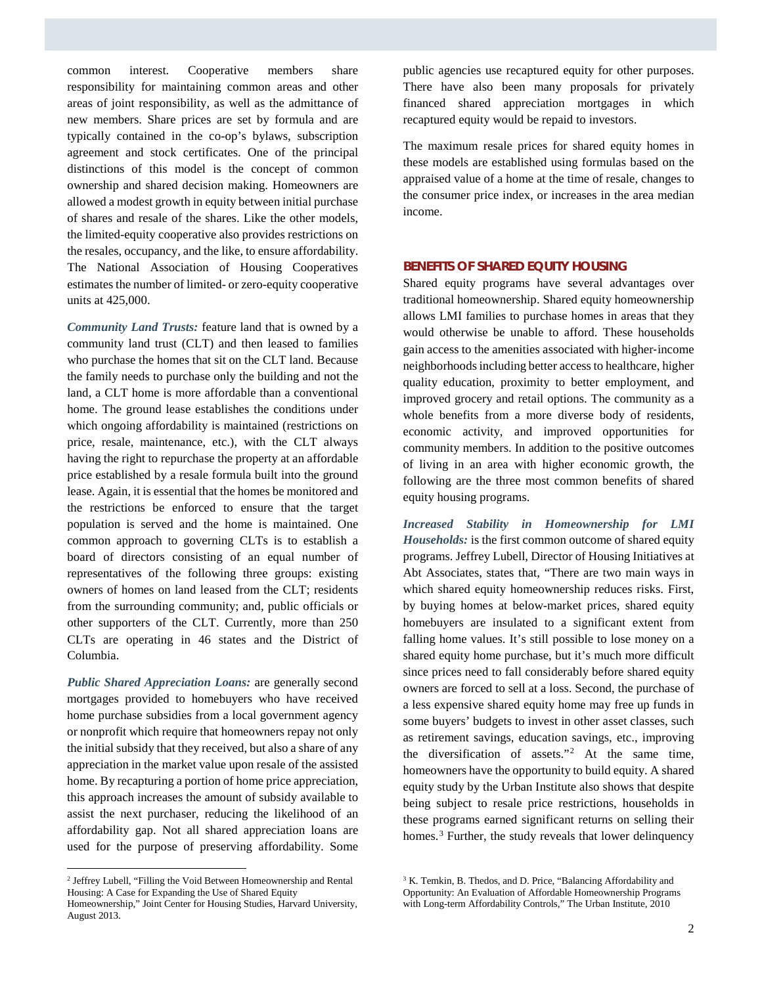common interest. Cooperative members share responsibility for maintaining common areas and other areas of joint responsibility, as well as the admittance of new members. Share prices are set by formula and are typically contained in the co-op's bylaws, subscription agreement and stock certificates. One of the principal distinctions of this model is the concept of common ownership and shared decision making. Homeowners are allowed a modest growth in equity between initial purchase of shares and resale of the shares. Like the other models, the limited-equity cooperative also provides restrictions on the resales, occupancy, and the like, to ensure affordability. The National Association of Housing Cooperatives estimates the number of limited- or zero-equity cooperative units at 425,000.

*Community Land Trusts:* feature land that is owned by a community land trust (CLT) and then leased to families who purchase the homes that sit on the CLT land. Because the family needs to purchase only the building and not the land, a CLT home is more affordable than a conventional home. The ground lease establishes the conditions under which ongoing affordability is maintained (restrictions on price, resale, maintenance, etc.), with the CLT always having the right to repurchase the property at an affordable price established by a resale formula built into the ground lease. Again, it is essential that the homes be monitored and the restrictions be enforced to ensure that the target population is served and the home is maintained. One common approach to governing CLTs is to establish a board of directors consisting of an equal number of representatives of the following three groups: existing owners of homes on land leased from the CLT; residents from the surrounding community; and, public officials or other supporters of the CLT. Currently, more than 250 CLTs are operating in 46 states and the District of Columbia.

*Public Shared Appreciation Loans:* are generally second mortgages provided to homebuyers who have received home purchase subsidies from a local government agency or nonprofit which require that homeowners repay not only the initial subsidy that they received, but also a share of any appreciation in the market value upon resale of the assisted home. By recapturing a portion of home price appreciation, this approach increases the amount of subsidy available to assist the next purchaser, reducing the likelihood of an affordability gap. Not all shared appreciation loans are used for the purpose of preserving affordability. Some

 $\overline{\phantom{a}}$ 

public agencies use recaptured equity for other purposes. There have also been many proposals for privately financed shared appreciation mortgages in which recaptured equity would be repaid to investors.

The maximum resale prices for shared equity homes in these models are established using formulas based on the appraised value of a home at the time of resale, changes to the consumer price index, or increases in the area median income.

## **BENEFITS OF SHARED EQUITY HOUSING**

Shared equity programs have several advantages over traditional homeownership. Shared equity homeownership allows LMI families to purchase homes in areas that they would otherwise be unable to afford. These households gain access to the amenities associated with higher‐income neighborhoodsincluding better access to healthcare, higher quality education, proximity to better employment, and improved grocery and retail options. The community as a whole benefits from a more diverse body of residents, economic activity, and improved opportunities for community members. In addition to the positive outcomes of living in an area with higher economic growth, the following are the three most common benefits of shared equity housing programs.

*Increased Stability in Homeownership for LMI Households:* is the first common outcome of shared equity programs. Jeffrey Lubell, Director of Housing Initiatives at Abt Associates, states that, "There are two main ways in which shared equity homeownership reduces risks. First, by buying homes at below-market prices, shared equity homebuyers are insulated to a significant extent from falling home values. It's still possible to lose money on a shared equity home purchase, but it's much more difficult since prices need to fall considerably before shared equity owners are forced to sell at a loss. Second, the purchase of a less expensive shared equity home may free up funds in some buyers' budgets to invest in other asset classes, such as retirement savings, education savings, etc., improving the diversification of assets."[2](#page-1-0) At the same time, homeowners have the opportunity to build equity. A shared equity study by the Urban Institute also shows that despite being subject to resale price restrictions, households in these programs earned significant returns on selling their homes.<sup>[3](#page-1-0)</sup> Further, the study reveals that lower delinquency

<span id="page-1-0"></span><sup>2</sup> Jeffrey Lubell, "Filling the Void Between Homeownership and Rental Housing: A Case for Expanding the Use of Shared Equity

Homeownership," Joint Center for Housing Studies, Harvard University, August 2013.

<sup>&</sup>lt;sup>3</sup> K. Temkin, B. Thedos, and D. Price, "Balancing Affordability and Opportunity: An Evaluation of Affordable Homeownership Programs with Long-term Affordability Controls," The Urban Institute, 2010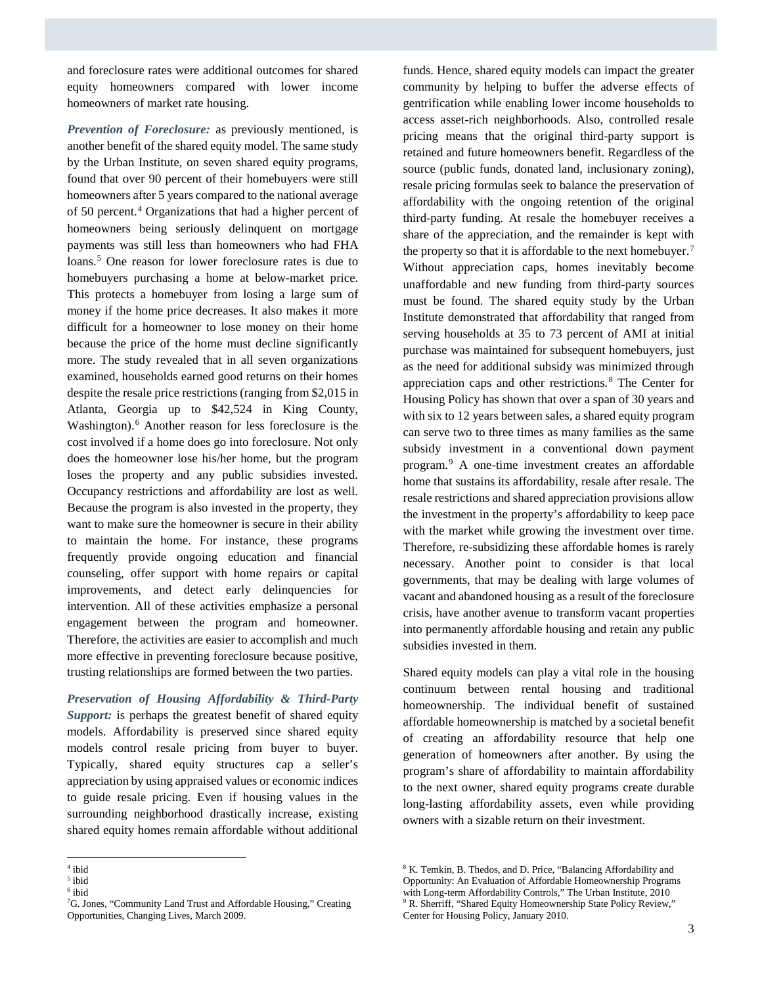and foreclosure rates were additional outcomes for shared equity homeowners compared with lower income homeowners of market rate housing.

*Prevention of Foreclosure:* as previously mentioned, is another benefit of the shared equity model. The same study by the Urban Institute, on seven shared equity programs, found that over 90 percent of their homebuyers were still homeowners after 5 years compared to the national average of 50 percent. [4](#page-2-0) Organizations that had a higher percent of homeowners being seriously delinquent on mortgage payments was still less than homeowners who had FHA loans. [5](#page-2-1) One reason for lower foreclosure rates is due to homebuyers purchasing a home at below-market price. This protects a homebuyer from losing a large sum of money if the home price decreases. It also makes it more difficult for a homeowner to lose money on their home because the price of the home must decline significantly more. The study revealed that in all seven organizations examined, households earned good returns on their homes despite the resale price restrictions (ranging from \$2,015 in Atlanta, Georgia up to \$42,524 in King County, Washington). [6](#page-2-2) Another reason for less foreclosure is the cost involved if a home does go into foreclosure. Not only does the homeowner lose his/her home, but the program loses the property and any public subsidies invested. Occupancy restrictions and affordability are lost as well. Because the program is also invested in the property, they want to make sure the homeowner is secure in their ability to maintain the home. For instance, these programs frequently provide ongoing education and financial counseling, offer support with home repairs or capital improvements, and detect early delinquencies for intervention. All of these activities emphasize a personal engagement between the program and homeowner. Therefore, the activities are easier to accomplish and much more effective in preventing foreclosure because positive, trusting relationships are formed between the two parties.

*Preservation of Housing Affordability & Third-Party Support:* is perhaps the greatest benefit of shared equity models. Affordability is preserved since shared equity models control resale pricing from buyer to buyer. Typically, shared equity structures cap a seller's appreciation by using appraised values or economic indices to guide resale pricing. Even if housing values in the surrounding neighborhood drastically increase, existing shared equity homes remain affordable without additional

funds. Hence, shared equity models can impact the greater community by helping to buffer the adverse effects of gentrification while enabling lower income households to access asset-rich neighborhoods. Also, controlled resale pricing means that the original third-party support is retained and future homeowners benefit. Regardless of the source (public funds, donated land, inclusionary zoning), resale pricing formulas seek to balance the preservation of affordability with the ongoing retention of the original third-party funding. At resale the homebuyer receives a share of the appreciation, and the remainder is kept with the property so that it is affordable to the next homebuyer.<sup>[7](#page-2-3)</sup> Without appreciation caps, homes inevitably become unaffordable and new funding from third-party sources must be found. The shared equity study by the Urban Institute demonstrated that affordability that ranged from serving households at 35 to 73 percent of AMI at initial purchase was maintained for subsequent homebuyers, just as the need for additional subsidy was minimized through appreciation caps and other restrictions.[8](#page-2-0) The Center for Housing Policy has shown that over a span of 30 years and with six to 12 years between sales, a shared equity program can serve two to three times as many families as the same subsidy investment in a conventional down payment program.[9](#page-2-3) A one-time investment creates an affordable home that sustains its affordability, resale after resale. The resale restrictions and shared appreciation provisions allow the investment in the property's affordability to keep pace with the market while growing the investment over time. Therefore, re-subsidizing these affordable homes is rarely necessary. Another point to consider is that local governments, that may be dealing with large volumes of vacant and abandoned housing as a result of the foreclosure crisis, have another avenue to transform vacant properties into permanently affordable housing and retain any public subsidies invested in them.

Shared equity models can play a vital role in the housing continuum between rental housing and traditional homeownership. The individual benefit of sustained affordable homeownership is matched by a societal benefit of creating an affordability resource that help one generation of homeowners after another. By using the program's share of affordability to maintain affordability to the next owner, shared equity programs create durable long-lasting affordability assets, even while providing owners with a sizable return on their investment.

l <sup>4</sup> ibid

<span id="page-2-1"></span><span id="page-2-0"></span><sup>5</sup> ibid

<span id="page-2-2"></span><sup>6</sup> ibid

<span id="page-2-3"></span><sup>&</sup>lt;sup>7</sup>G. Jones, "Community Land Trust and Affordable Housing," Creating Opportunities, Changing Lives, March 2009.

<sup>8</sup> K. Temkin, B. Thedos, and D. Price, "Balancing Affordability and Opportunity: An Evaluation of Affordable Homeownership Programs with Long-term Affordability Controls," The Urban Institute, 2010 <sup>9</sup> R. Sherriff, "Shared Equity Homeownership State Policy Review," Center for Housing Policy, January 2010.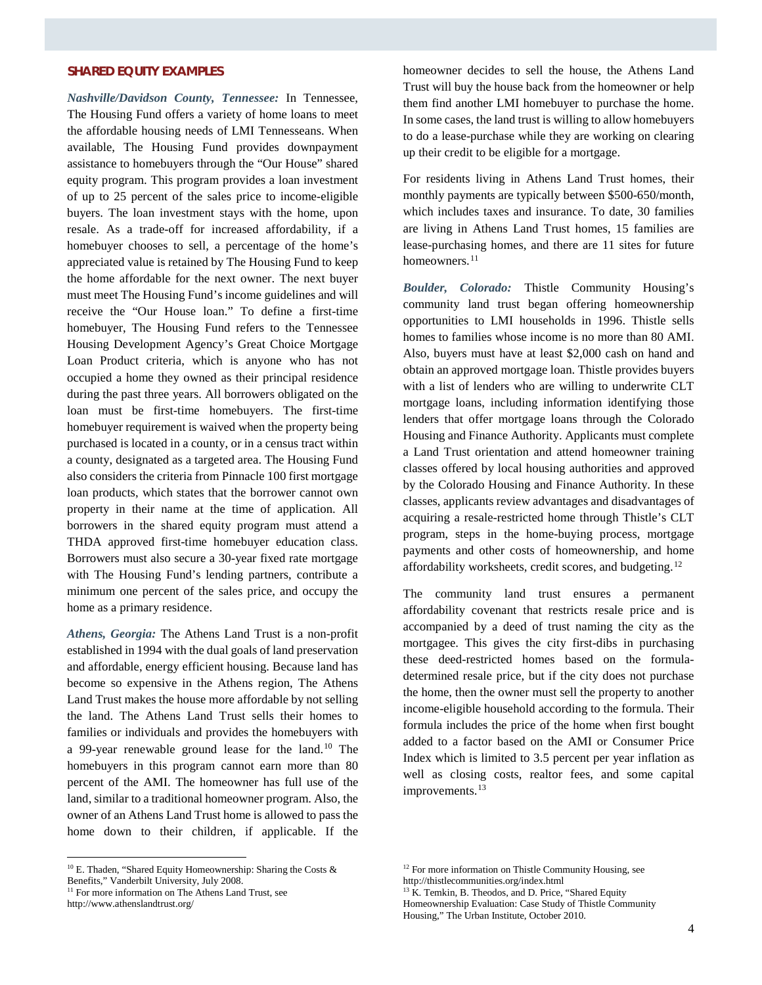# **SHARED EQUITY EXAMPLES**

*Nashville/Davidson County, Tennessee:* In Tennessee, The Housing Fund offers a variety of home loans to meet the affordable housing needs of LMI Tennesseans. When available, The Housing Fund provides downpayment assistance to homebuyers through the "Our House" shared equity program. This program provides a loan investment of up to 25 percent of the sales price to income-eligible buyers. The loan investment stays with the home, upon resale. As a trade-off for increased affordability, if a homebuyer chooses to sell, a percentage of the home's appreciated value is retained by The Housing Fund to keep the home affordable for the next owner. The next buyer must meet The Housing Fund's income guidelines and will receive the "Our House loan." To define a first-time homebuyer, The Housing Fund refers to the Tennessee Housing Development Agency's Great Choice Mortgage Loan Product criteria, which is anyone who has not occupied a home they owned as their principal residence during the past three years. All borrowers obligated on the loan must be first-time homebuyers. The first-time homebuyer requirement is waived when the property being purchased is located in a county, or in a census tract within a county, designated as a targeted area. The Housing Fund also considers the criteria from Pinnacle 100 first mortgage loan products, which states that the borrower cannot own property in their name at the time of application. All borrowers in the shared equity program must attend a THDA approved first-time homebuyer education class. Borrowers must also secure a 30-year fixed rate mortgage with The Housing Fund's lending partners, contribute a minimum one percent of the sales price, and occupy the home as a primary residence.

*Athens, Georgia:* The Athens Land Trust is a non-profit established in 1994 with the dual goals of land preservation and affordable, energy efficient housing. Because land has become so expensive in the Athens region, The Athens Land Trust makes the house more affordable by not selling the land. The Athens Land Trust sells their homes to families or individuals and provides the homebuyers with a 99-year renewable ground lease for the land.[10](#page-3-0) The homebuyers in this program cannot earn more than 80 percent of the AMI. The homeowner has full use of the land, similar to a traditional homeowner program. Also, the owner of an Athens Land Trust home is allowed to pass the home down to their children, if applicable. If the

<span id="page-3-0"></span> $10$  E. Thaden, "Shared Equity Homeownership: Sharing the Costs & Benefits," Vanderbilt University, July 2008.

<span id="page-3-1"></span><sup>11</sup> For more information on The Athens Land Trust, see

http://www.athenslandtrust.org/

l

homeowner decides to sell the house, the Athens Land Trust will buy the house back from the homeowner or help them find another LMI homebuyer to purchase the home. In some cases, the land trust is willing to allow homebuyers to do a lease-purchase while they are working on clearing up their credit to be eligible for a mortgage.

For residents living in Athens Land Trust homes, their monthly payments are typically between \$500-650/month, which includes taxes and insurance. To date, 30 families are living in Athens Land Trust homes, 15 families are lease-purchasing homes, and there are 11 sites for future homeowners.<sup>[11](#page-3-1)</sup>

*Boulder, Colorado:* Thistle Community Housing's community land trust began offering homeownership opportunities to LMI households in 1996. Thistle sells homes to families whose income is no more than 80 AMI. Also, buyers must have at least \$2,000 cash on hand and obtain an approved mortgage loan. Thistle provides buyers with a list of lenders who are willing to underwrite CLT mortgage loans, including information identifying those lenders that offer mortgage loans through the Colorado Housing and Finance Authority. Applicants must complete a Land Trust orientation and attend homeowner training classes offered by local housing authorities and approved by the Colorado Housing and Finance Authority. In these classes, applicants review advantages and disadvantages of acquiring a resale-restricted home through Thistle's CLT program, steps in the home-buying process, mortgage payments and other costs of homeownership, and home affordability worksheets, credit scores, and budgeting.<sup>[12](#page-3-0)</sup>

The community land trust ensures a permanent affordability covenant that restricts resale price and is accompanied by a deed of trust naming the city as the mortgagee. This gives the city first-dibs in purchasing these deed-restricted homes based on the formuladetermined resale price, but if the city does not purchase the home, then the owner must sell the property to another income-eligible household according to the formula. Their formula includes the price of the home when first bought added to a factor based on the AMI or Consumer Price Index which is limited to 3.5 percent per year inflation as well as closing costs, realtor fees, and some capital improvements.<sup>[13](#page-3-1)</sup>

<sup>&</sup>lt;sup>12</sup> For more information on Thistle Community Housing, see http://thistlecommunities.org/index.html

<sup>&</sup>lt;sup>13</sup> K. Temkin, B. Theodos, and D. Price, "Shared Equity Homeownership Evaluation: Case Study of Thistle Community Housing," The Urban Institute, October 2010.